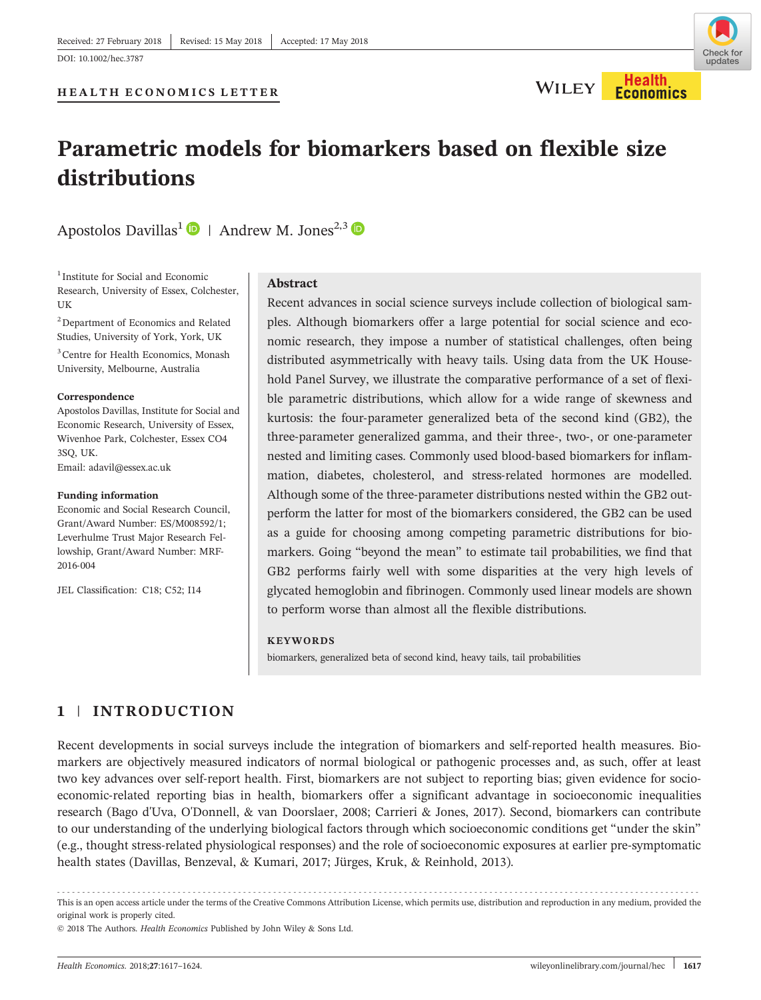

# Parametric models for biomarkers based on flexible size distributions

Apostolos Davillas<sup>1</sup>  $\bullet$  | Andrew M. Jones<sup>2,3</sup>  $\bullet$ 

<sup>1</sup> Institute for Social and Economic Research, University of Essex, Colchester, **IK** 

<sup>2</sup> Department of Economics and Related Studies, University of York, York, UK

3 Centre for Health Economics, Monash University, Melbourne, Australia

#### **Correspondence**

Apostolos Davillas, Institute for Social and Economic Research, University of Essex, Wivenhoe Park, Colchester, Essex CO4 3SQ, UK. Email: [adavil@essex.ac.uk](mailto:adavil@essex.ac.uk)

#### Funding information

Economic and Social Research Council, Grant/Award Number: ES/M008592/1; Leverhulme Trust Major Research Fellowship, Grant/Award Number: MRF‐ 2016‐004

JEL Classification: C18; C52; I14

## Abstract

Recent advances in social science surveys include collection of biological samples. Although biomarkers offer a large potential for social science and economic research, they impose a number of statistical challenges, often being distributed asymmetrically with heavy tails. Using data from the UK Household Panel Survey, we illustrate the comparative performance of a set of flexible parametric distributions, which allow for a wide range of skewness and kurtosis: the four-parameter generalized beta of the second kind (GB2), the three‐parameter generalized gamma, and their three‐, two‐, or one‐parameter nested and limiting cases. Commonly used blood‐based biomarkers for inflammation, diabetes, cholesterol, and stress-related hormones are modelled. Although some of the three‐parameter distributions nested within the GB2 outperform the latter for most of the biomarkers considered, the GB2 can be used as a guide for choosing among competing parametric distributions for biomarkers. Going "beyond the mean" to estimate tail probabilities, we find that GB2 performs fairly well with some disparities at the very high levels of glycated hemoglobin and fibrinogen. Commonly used linear models are shown to perform worse than almost all the flexible distributions.

#### **KEYWORDS**

biomarkers, generalized beta of second kind, heavy tails, tail probabilities

## 1 | INTRODUCTION

Recent developments in social surveys include the integration of biomarkers and self-reported health measures. Biomarkers are objectively measured indicators of normal biological or pathogenic processes and, as such, offer at least two key advances over self-report health. First, biomarkers are not subject to reporting bias; given evidence for socioeconomic‐related reporting bias in health, biomarkers offer a significant advantage in socioeconomic inequalities research (Bago d'Uva, O'Donnell, & van Doorslaer, 2008; Carrieri & Jones, 2017). Second, biomarkers can contribute to our understanding of the underlying biological factors through which socioeconomic conditions get "under the skin" (e.g., thought stress‐related physiological responses) and the role of socioeconomic exposures at earlier pre‐symptomatic health states (Davillas, Benzeval, & Kumari, 2017; Jürges, Kruk, & Reinhold, 2013).

------------------------------------------------------------------------------------------------------------------------------- - This is an open access article under the terms of the [Creative Commons Attribution](http://creativecommons.org/licenses/by/4.0/) License, which permits use, distribution and reproduction in any medium, provided the original work is properly cited.

© 2018 The Authors. Health Economics Published by John Wiley & Sons Ltd.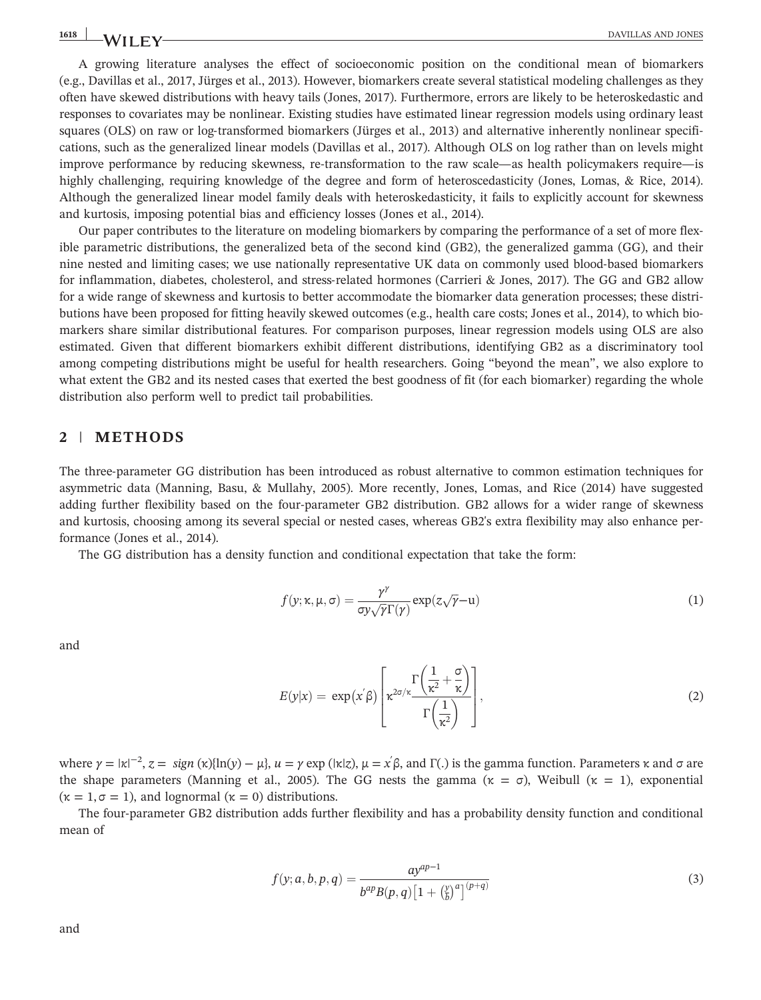# 1618 **NATURAL SERVICE SERVICE SERVICE SERVICE SERVICE SERVICE SERVICE SERVICE SERVICE SERVICE SERVICE SERVICE SERVICE SERVICE SERVICE SERVICE SERVICE SERVICE SERVICE SERVICE SERVICE SERVICE SERVICE SERVICE SERVICE SERVICE**

A growing literature analyses the effect of socioeconomic position on the conditional mean of biomarkers (e.g., Davillas et al., 2017, Jürges et al., 2013). However, biomarkers create several statistical modeling challenges as they often have skewed distributions with heavy tails (Jones, 2017). Furthermore, errors are likely to be heteroskedastic and responses to covariates may be nonlinear. Existing studies have estimated linear regression models using ordinary least squares (OLS) on raw or log-transformed biomarkers (Jürges et al., 2013) and alternative inherently nonlinear specifications, such as the generalized linear models (Davillas et al., 2017). Although OLS on log rather than on levels might improve performance by reducing skewness, re‐transformation to the raw scale—as health policymakers require—is highly challenging, requiring knowledge of the degree and form of heteroscedasticity (Jones, Lomas, & Rice, 2014). Although the generalized linear model family deals with heteroskedasticity, it fails to explicitly account for skewness and kurtosis, imposing potential bias and efficiency losses (Jones et al., 2014).

Our paper contributes to the literature on modeling biomarkers by comparing the performance of a set of more flexible parametric distributions, the generalized beta of the second kind (GB2), the generalized gamma (GG), and their nine nested and limiting cases; we use nationally representative UK data on commonly used blood‐based biomarkers for inflammation, diabetes, cholesterol, and stress-related hormones (Carrieri & Jones, 2017). The GG and GB2 allow for a wide range of skewness and kurtosis to better accommodate the biomarker data generation processes; these distributions have been proposed for fitting heavily skewed outcomes (e.g., health care costs; Jones et al., 2014), to which biomarkers share similar distributional features. For comparison purposes, linear regression models using OLS are also estimated. Given that different biomarkers exhibit different distributions, identifying GB2 as a discriminatory tool among competing distributions might be useful for health researchers. Going "beyond the mean", we also explore to what extent the GB2 and its nested cases that exerted the best goodness of fit (for each biomarker) regarding the whole distribution also perform well to predict tail probabilities.

## 2 | METHODS

The three-parameter GG distribution has been introduced as robust alternative to common estimation techniques for asymmetric data (Manning, Basu, & Mullahy, 2005). More recently, Jones, Lomas, and Rice (2014) have suggested adding further flexibility based on the four‐parameter GB2 distribution. GB2 allows for a wider range of skewness and kurtosis, choosing among its several special or nested cases, whereas GB2's extra flexibility may also enhance performance (Jones et al., 2014).

The GG distribution has a density function and conditional expectation that take the form:

$$
f(y; \kappa, \mu, \sigma) = \frac{\gamma^{\gamma}}{\sigma y \sqrt{\gamma} \Gamma(\gamma)} \exp(z \sqrt{\gamma} - u)
$$
\n(1)

and

$$
E(y|x) = \exp\left(x'\beta\right) \left[\kappa^{2\sigma/\kappa} \frac{\Gamma\left(\frac{1}{\kappa^2} + \frac{\sigma}{\kappa}\right)}{\Gamma\left(\frac{1}{\kappa^2}\right)}\right],\tag{2}
$$

where  $\gamma = |\kappa|^{-2}$ ,  $z = sign(\kappa)[\ln(y) - \mu]$ ,  $u = \gamma \exp(|\kappa|z)$ ,  $\mu = x \hat{\beta}$ , and  $\Gamma(.)$  is the gamma function. Parameters  $\kappa$  and  $\sigma$  are the shape parameters (Manning et al., 2005). The GG nests the gamma (κ = σ), Weibull (κ = 1), exponential  $(\kappa = 1, \sigma = 1)$ , and lognormal  $(\kappa = 0)$  distributions.

The four-parameter GB2 distribution adds further flexibility and has a probability density function and conditional mean of

$$
f(y;a,b,p,q) = \frac{ay^{ap-1}}{b^{ap}B(p,q)\left[1+\left(\frac{y}{b}\right)^a\right]^{(p+q)}}
$$
\n(3)

and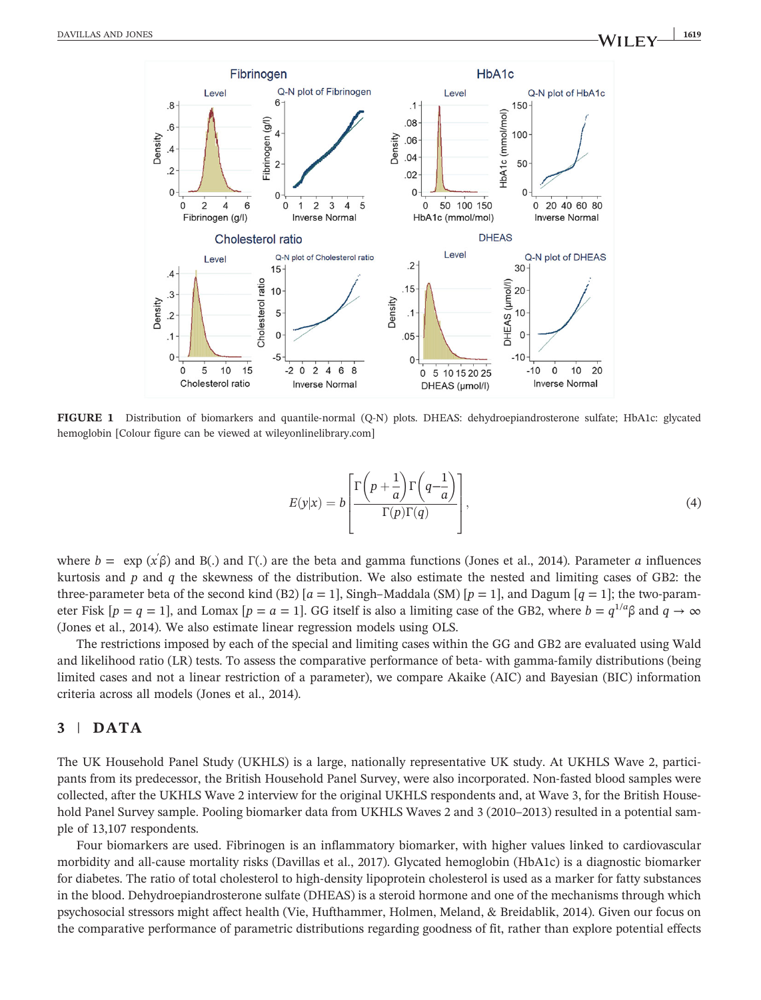

FIGURE 1 Distribution of biomarkers and quantile-normal (Q-N) plots. DHEAS: dehydroepiandrosterone sulfate; HbA1c: glycated hemoglobin [Colour figure can be viewed at [wileyonlinelibrary.com\]](http://wileyonlinelibrary.com)

$$
E(y|x) = b \left[ \frac{\Gamma\left(p + \frac{1}{a}\right) \Gamma\left(q - \frac{1}{a}\right)}{\Gamma(p) \Gamma(q)} \right],\tag{4}
$$

where  $b = \exp(x'\beta)$  and B(.) and  $\Gamma$ (.) are the beta and gamma functions (Jones et al., 2014). Parameter a influences kurtosis and  $p$  and  $q$  the skewness of the distribution. We also estimate the nested and limiting cases of GB2: the three-parameter beta of the second kind (B2) [ $a = 1$ ], Singh–Maddala (SM) [ $p = 1$ ], and Dagum [ $q = 1$ ]; the two-parameter Fisk  $[p = q = 1]$ , and Lomax  $[p = a = 1]$ . GG itself is also a limiting case of the GB2, where  $b = q^{1/a}\beta$  and  $q \to \infty$ (Jones et al., 2014). We also estimate linear regression models using OLS.

The restrictions imposed by each of the special and limiting cases within the GG and GB2 are evaluated using Wald and likelihood ratio (LR) tests. To assess the comparative performance of beta- with gamma-family distributions (being limited cases and not a linear restriction of a parameter), we compare Akaike (AIC) and Bayesian (BIC) information criteria across all models (Jones et al., 2014).

## 3 | DATA

The UK Household Panel Study (UKHLS) is a large, nationally representative UK study. At UKHLS Wave 2, participants from its predecessor, the British Household Panel Survey, were also incorporated. Non-fasted blood samples were collected, after the UKHLS Wave 2 interview for the original UKHLS respondents and, at Wave 3, for the British Household Panel Survey sample. Pooling biomarker data from UKHLS Waves 2 and 3 (2010–2013) resulted in a potential sample of 13,107 respondents.

Four biomarkers are used. Fibrinogen is an inflammatory biomarker, with higher values linked to cardiovascular morbidity and all‐cause mortality risks (Davillas et al., 2017). Glycated hemoglobin (HbA1c) is a diagnostic biomarker for diabetes. The ratio of total cholesterol to high-density lipoprotein cholesterol is used as a marker for fatty substances in the blood. Dehydroepiandrosterone sulfate (DHEAS) is a steroid hormone and one of the mechanisms through which psychosocial stressors might affect health (Vie, Hufthammer, Holmen, Meland, & Breidablik, 2014). Given our focus on the comparative performance of parametric distributions regarding goodness of fit, rather than explore potential effects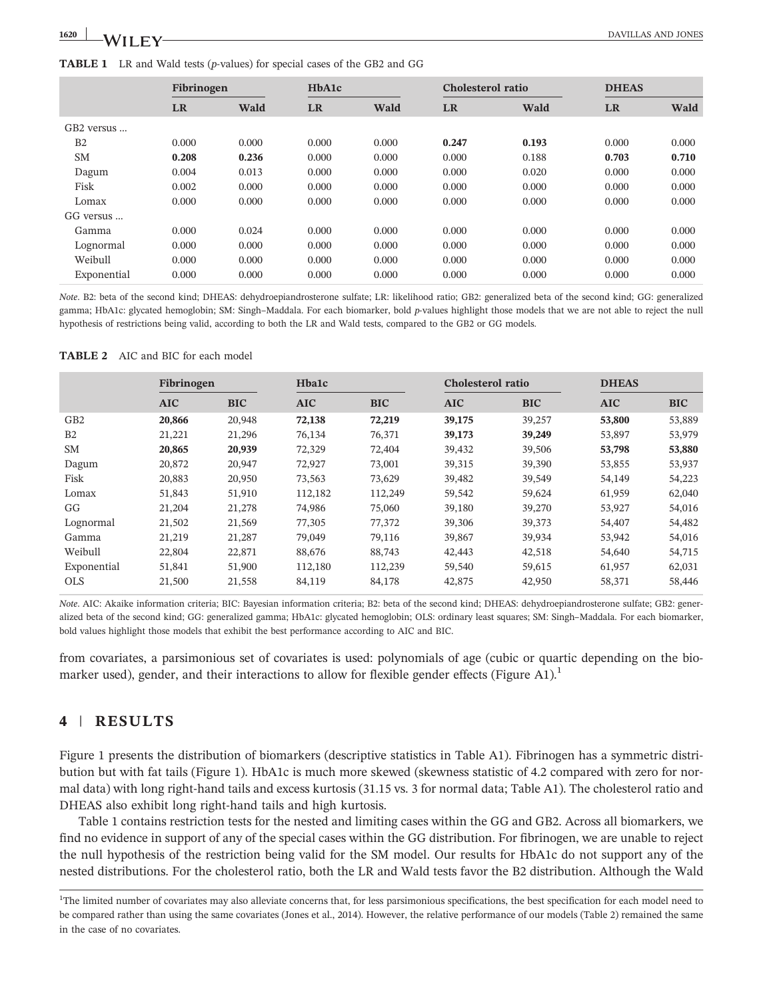#### TABLE 1 LR and Wald tests (p-values) for special cases of the GB2 and GG

|             | Fibrinogen |       | HbA1c     |       |           | Cholesterol ratio |           | <b>DHEAS</b> |  |
|-------------|------------|-------|-----------|-------|-----------|-------------------|-----------|--------------|--|
|             | <b>LR</b>  | Wald  | <b>LR</b> | Wald  | <b>LR</b> | <b>Wald</b>       | <b>LR</b> | Wald         |  |
| GB2 versus  |            |       |           |       |           |                   |           |              |  |
| B2          | 0.000      | 0.000 | 0.000     | 0.000 | 0.247     | 0.193             | 0.000     | 0.000        |  |
| <b>SM</b>   | 0.208      | 0.236 | 0.000     | 0.000 | 0.000     | 0.188             | 0.703     | 0.710        |  |
| Dagum       | 0.004      | 0.013 | 0.000     | 0.000 | 0.000     | 0.020             | 0.000     | 0.000        |  |
| Fisk        | 0.002      | 0.000 | 0.000     | 0.000 | 0.000     | 0.000             | 0.000     | 0.000        |  |
| Lomax       | 0.000      | 0.000 | 0.000     | 0.000 | 0.000     | 0.000             | 0.000     | 0.000        |  |
| GG versus   |            |       |           |       |           |                   |           |              |  |
| Gamma       | 0.000      | 0.024 | 0.000     | 0.000 | 0.000     | 0.000             | 0.000     | 0.000        |  |
| Lognormal   | 0.000      | 0.000 | 0.000     | 0.000 | 0.000     | 0.000             | 0.000     | 0.000        |  |
| Weibull     | 0.000      | 0.000 | 0.000     | 0.000 | 0.000     | 0.000             | 0.000     | 0.000        |  |
| Exponential | 0.000      | 0.000 | 0.000     | 0.000 | 0.000     | 0.000             | 0.000     | 0.000        |  |

Note. B2: beta of the second kind; DHEAS: dehydroepiandrosterone sulfate; LR: likelihood ratio; GB2: generalized beta of the second kind; GG: generalized gamma; HbA1c: glycated hemoglobin; SM: Singh-Maddala. For each biomarker, bold p-values highlight those models that we are not able to reject the null hypothesis of restrictions being valid, according to both the LR and Wald tests, compared to the GB2 or GG models.

TABLE 2 AIC and BIC for each model

|                 | Fibrinogen |            | <b>Hbalc</b> |            | Cholesterol ratio |            | <b>DHEAS</b> |            |
|-----------------|------------|------------|--------------|------------|-------------------|------------|--------------|------------|
|                 | <b>AIC</b> | <b>BIC</b> | <b>AIC</b>   | <b>BIC</b> | <b>AIC</b>        | <b>BIC</b> | <b>AIC</b>   | <b>BIC</b> |
| GB <sub>2</sub> | 20.866     | 20,948     | 72,138       | 72,219     | 39,175            | 39,257     | 53,800       | 53,889     |
| B <sub>2</sub>  | 21,221     | 21,296     | 76,134       | 76,371     | 39,173            | 39,249     | 53,897       | 53,979     |
| <b>SM</b>       | 20,865     | 20,939     | 72,329       | 72,404     | 39,432            | 39,506     | 53,798       | 53,880     |
| Dagum           | 20,872     | 20,947     | 72,927       | 73,001     | 39,315            | 39,390     | 53,855       | 53,937     |
| Fisk            | 20,883     | 20,950     | 73,563       | 73,629     | 39,482            | 39,549     | 54,149       | 54,223     |
| Lomax           | 51,843     | 51,910     | 112,182      | 112,249    | 59,542            | 59,624     | 61,959       | 62,040     |
| GG              | 21.204     | 21,278     | 74,986       | 75,060     | 39,180            | 39,270     | 53,927       | 54,016     |
| Lognormal       | 21,502     | 21,569     | 77,305       | 77,372     | 39,306            | 39,373     | 54,407       | 54,482     |
| Gamma           | 21,219     | 21,287     | 79,049       | 79,116     | 39,867            | 39,934     | 53,942       | 54,016     |
| Weibull         | 22,804     | 22,871     | 88,676       | 88,743     | 42,443            | 42,518     | 54,640       | 54,715     |
| Exponential     | 51,841     | 51,900     | 112,180      | 112,239    | 59,540            | 59,615     | 61,957       | 62,031     |
| <b>OLS</b>      | 21,500     | 21,558     | 84,119       | 84,178     | 42,875            | 42,950     | 58,371       | 58,446     |

Note. AIC: Akaike information criteria; BIC: Bayesian information criteria; B2: beta of the second kind; DHEAS: dehydroepiandrosterone sulfate; GB2: generalized beta of the second kind; GG: generalized gamma; HbA1c: glycated hemoglobin; OLS: ordinary least squares; SM: Singh–Maddala. For each biomarker, bold values highlight those models that exhibit the best performance according to AIC and BIC.

from covariates, a parsimonious set of covariates is used: polynomials of age (cubic or quartic depending on the biomarker used), gender, and their interactions to allow for flexible gender effects (Figure A1).<sup>1</sup>

## 4 | RESULTS

Figure 1 presents the distribution of biomarkers (descriptive statistics in Table A1). Fibrinogen has a symmetric distribution but with fat tails (Figure 1). HbA1c is much more skewed (skewness statistic of 4.2 compared with zero for normal data) with long right-hand tails and excess kurtosis (31.15 vs. 3 for normal data; Table A1). The cholesterol ratio and DHEAS also exhibit long right‐hand tails and high kurtosis.

Table 1 contains restriction tests for the nested and limiting cases within the GG and GB2. Across all biomarkers, we find no evidence in support of any of the special cases within the GG distribution. For fibrinogen, we are unable to reject the null hypothesis of the restriction being valid for the SM model. Our results for HbA1c do not support any of the nested distributions. For the cholesterol ratio, both the LR and Wald tests favor the B2 distribution. Although the Wald

<sup>&</sup>lt;sup>1</sup>The limited number of covariates may also alleviate concerns that, for less parsimonious specifications, the best specification for each model need to be compared rather than using the same covariates (Jones et al., 2014). However, the relative performance of our models (Table 2) remained the same in the case of no covariates.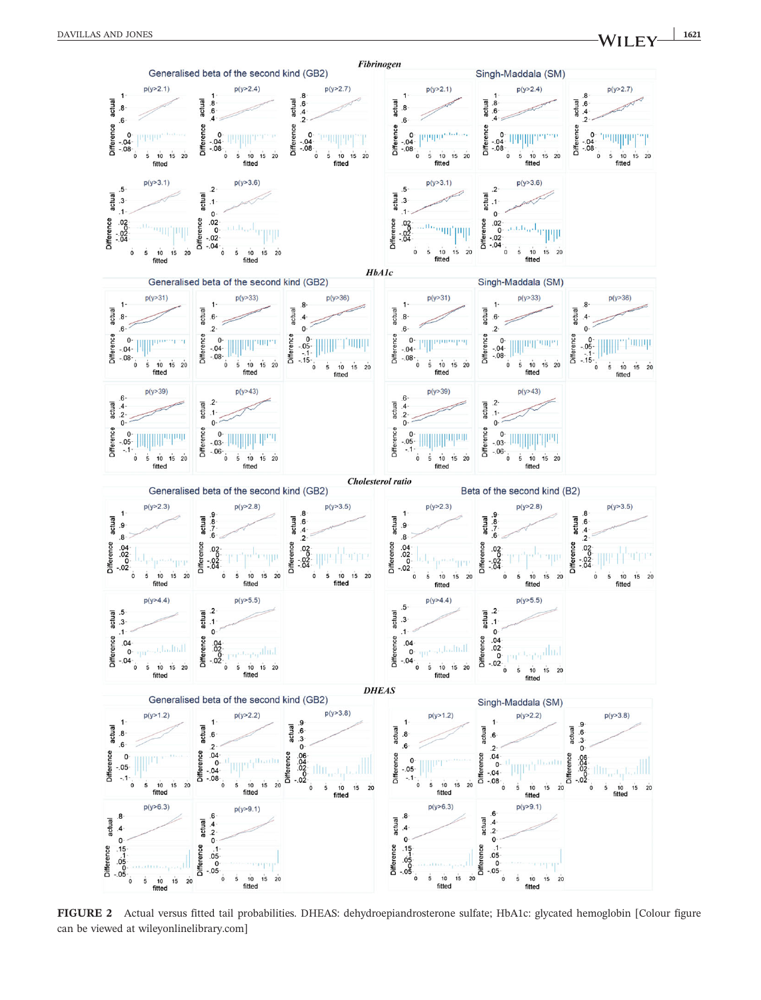

FIGURE 2 Actual versus fitted tail probabilities. DHEAS: dehydroepiandrosterone sulfate; HbA1c: glycated hemoglobin [Colour figure can be viewed at [wileyonlinelibrary.com](http://wileyonlinelibrary.com)]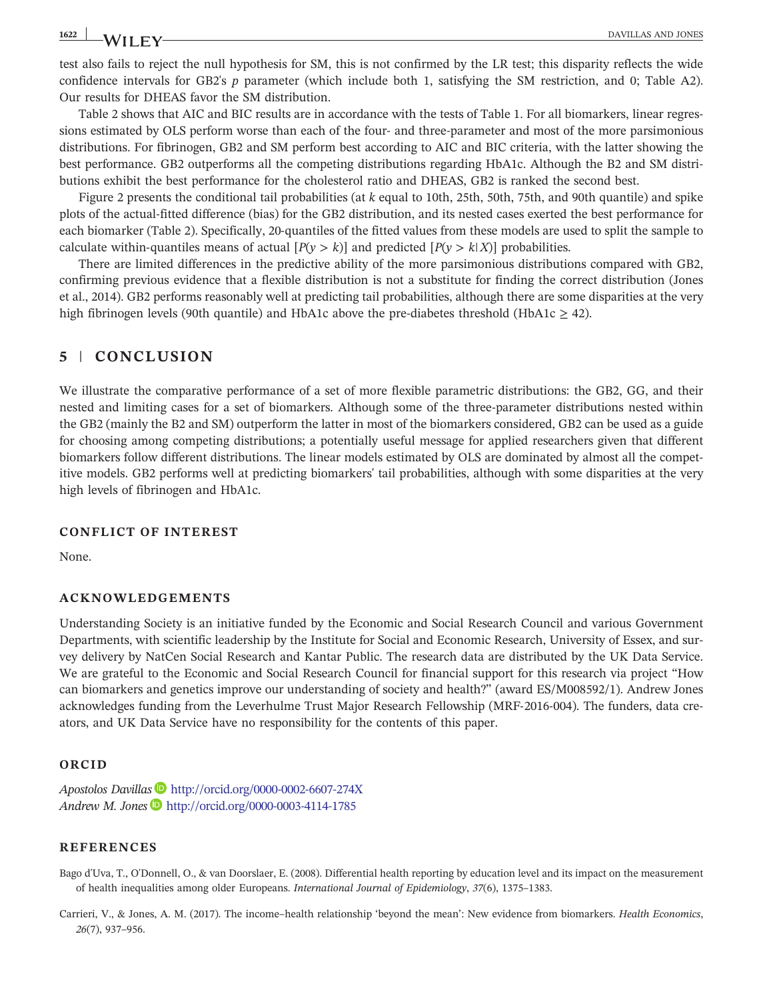test also fails to reject the null hypothesis for SM, this is not confirmed by the LR test; this disparity reflects the wide confidence intervals for GB2's p parameter (which include both 1, satisfying the SM restriction, and 0; Table A2). Our results for DHEAS favor the SM distribution.

Table 2 shows that AIC and BIC results are in accordance with the tests of Table 1. For all biomarkers, linear regressions estimated by OLS perform worse than each of the four- and three-parameter and most of the more parsimonious distributions. For fibrinogen, GB2 and SM perform best according to AIC and BIC criteria, with the latter showing the best performance. GB2 outperforms all the competing distributions regarding HbA1c. Although the B2 and SM distributions exhibit the best performance for the cholesterol ratio and DHEAS, GB2 is ranked the second best.

Figure 2 presents the conditional tail probabilities (at k equal to 10th, 25th, 50th, 75th, and 90th quantile) and spike plots of the actual‐fitted difference (bias) for the GB2 distribution, and its nested cases exerted the best performance for each biomarker (Table 2). Specifically, 20‐quantiles of the fitted values from these models are used to split the sample to calculate within-quantiles means of actual  $[P(y > k)]$  and predicted  $[P(y > k|X)]$  probabilities.

There are limited differences in the predictive ability of the more parsimonious distributions compared with GB2, confirming previous evidence that a flexible distribution is not a substitute for finding the correct distribution (Jones et al., 2014). GB2 performs reasonably well at predicting tail probabilities, although there are some disparities at the very high fibrinogen levels (90th quantile) and HbA1c above the pre-diabetes threshold (HbA1c  $\geq$  42).

## 5 | CONCLUSION

We illustrate the comparative performance of a set of more flexible parametric distributions: the GB2, GG, and their nested and limiting cases for a set of biomarkers. Although some of the three‐parameter distributions nested within the GB2 (mainly the B2 and SM) outperform the latter in most of the biomarkers considered, GB2 can be used as a guide for choosing among competing distributions; a potentially useful message for applied researchers given that different biomarkers follow different distributions. The linear models estimated by OLS are dominated by almost all the competitive models. GB2 performs well at predicting biomarkers' tail probabilities, although with some disparities at the very high levels of fibrinogen and HbA1c.

## CONFLICT OF INTEREST

None.

## ACKNOWLEDGEMENTS

Understanding Society is an initiative funded by the Economic and Social Research Council and various Government Departments, with scientific leadership by the Institute for Social and Economic Research, University of Essex, and survey delivery by NatCen Social Research and Kantar Public. The research data are distributed by the UK Data Service. We are grateful to the Economic and Social Research Council for financial support for this research via project "How can biomarkers and genetics improve our understanding of society and health?" (award ES/M008592/1). Andrew Jones acknowledges funding from the Leverhulme Trust Major Research Fellowship (MRF‐2016‐004). The funders, data creators, and UK Data Service have no responsibility for the contents of this paper.

## ORCID

Apostolos Davillas <http://orcid.org/0000-0002-6607-274X> Andrew M. Jones D <http://orcid.org/0000-0003-4114-1785>

## **REFERENCES**

Bago d'Uva, T., O'Donnell, O., & van Doorslaer, E. (2008). Differential health reporting by education level and its impact on the measurement of health inequalities among older Europeans. International Journal of Epidemiology, 37(6), 1375–1383.

Carrieri, V., & Jones, A. M. (2017). The income–health relationship 'beyond the mean': New evidence from biomarkers. Health Economics, 26(7), 937–956.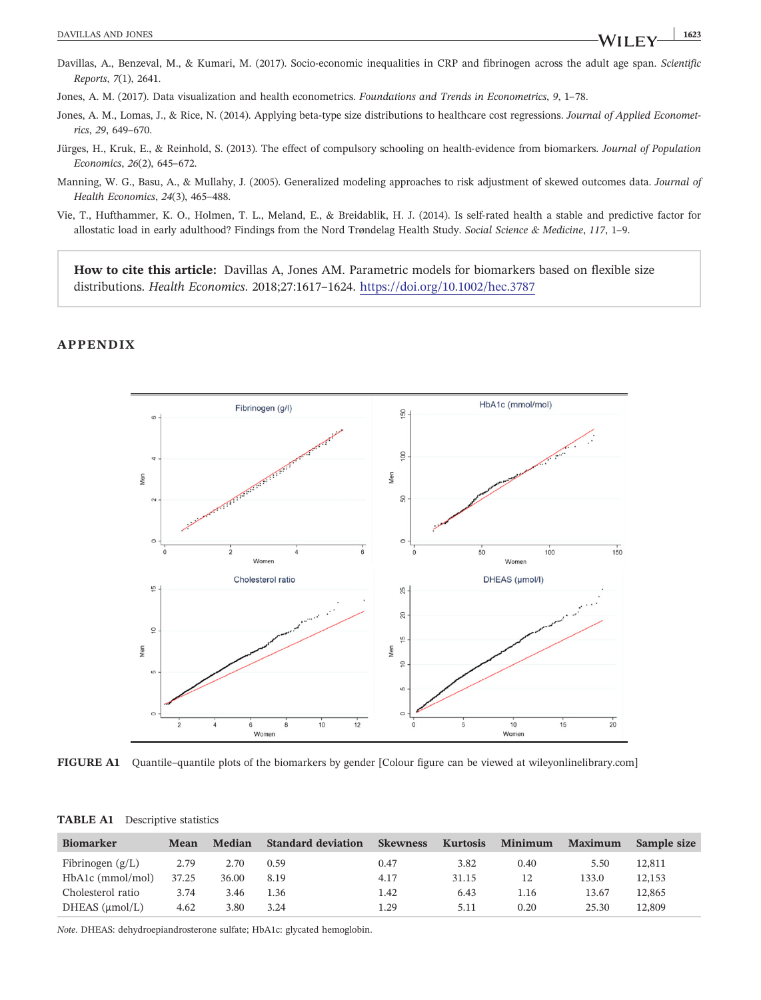Davillas, A., Benzeval, M., & Kumari, M. (2017). Socio-economic inequalities in CRP and fibrinogen across the adult age span. Scientific Reports, 7(1), 2641.

Jones, A. M. (2017). Data visualization and health econometrics. Foundations and Trends in Econometrics, 9, 1–78.

- Jones, A. M., Lomas, J., & Rice, N. (2014). Applying beta-type size distributions to healthcare cost regressions. Journal of Applied Econometrics, 29, 649–670.
- Jürges, H., Kruk, E., & Reinhold, S. (2013). The effect of compulsory schooling on health‐evidence from biomarkers. Journal of Population Economics, 26(2), 645–672.
- Manning, W. G., Basu, A., & Mullahy, J. (2005). Generalized modeling approaches to risk adjustment of skewed outcomes data. Journal of Health Economics, 24(3), 465–488.
- Vie, T., Hufthammer, K. O., Holmen, T. L., Meland, E., & Breidablik, H. J. (2014). Is self‐rated health a stable and predictive factor for allostatic load in early adulthood? Findings from the Nord Trøndelag Health Study. Social Science & Medicine, 117, 1-9.

How to cite this article: Davillas A, Jones AM. Parametric models for biomarkers based on flexible size distributions. Health Economics. 2018;27:1617–1624. <https://doi.org/10.1002/hec.3787>

#### APPENDIX



FIGURE A1 Quantile–quantile plots of the biomarkers by gender [Colour figure can be viewed at [wileyonlinelibrary.com\]](http://wileyonlinelibrary.com)

| <b>Biomarker</b>       | <b>Mean</b> | Median | <b>Standard deviation</b> | <b>Skewness</b> | <b>Kurtosis</b> | Minimum | <b>Maximum</b> | Sample size |
|------------------------|-------------|--------|---------------------------|-----------------|-----------------|---------|----------------|-------------|
| Fibrinogen $(g/L)$     | 2.79        | 2.70   | 0.59                      | 0.47            | 3.82            | 0.40    | 5.50           | 12.811      |
| HbA1c (mmol/mol)       | 37.25       | 36.00  | 8.19                      | 4.17            | 31.15           | 12      | 133.0          | 12,153      |
| Cholesterol ratio      | 3.74        | 3.46   | l .36                     | 1.42            | 6.43            | 1.16    | 13.67          | 12.865      |
| $DHEAS$ ( $\mu$ mol/L) | 4.62        | 3.80   | 3.24                      | 1.29            | 5.11            | 0.20    | 25.30          | 12.809      |

TABLE A1 Descriptive statistics

Note. DHEAS: dehydroepiandrosterone sulfate; HbA1c: glycated hemoglobin.